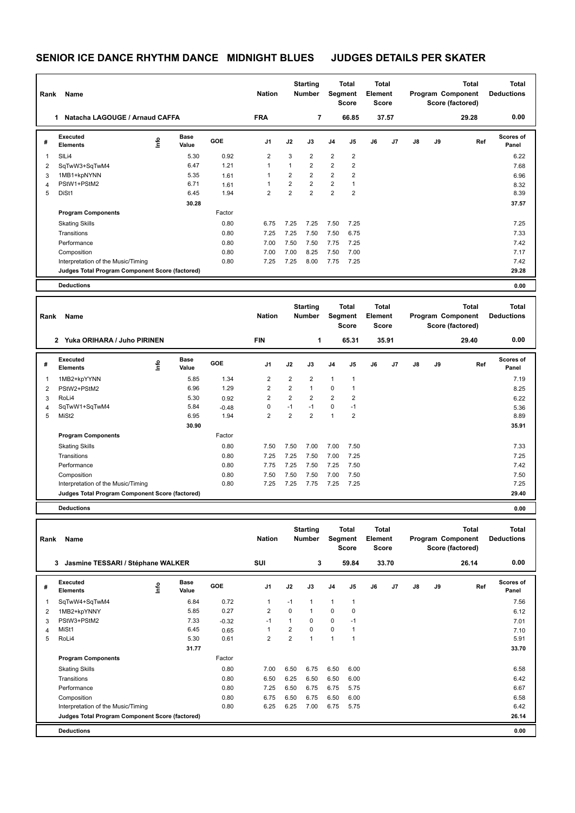## **SENIOR ICE DANCE RHYTHM DANCE MIDNIGHT BLUES JUDGES DETAILS PER SKATER**

| Rank           | Name                                            | <b>Nation</b> | <b>Starting</b><br><b>Number</b><br>Segment |        |                | <b>Total</b><br><b>Score</b> | <b>Total</b><br>Element<br><b>Score</b> |                |                |    | <b>Total</b><br>Program Component<br>Score (factored) | <b>Total</b><br><b>Deductions</b> |    |       |                           |
|----------------|-------------------------------------------------|---------------|---------------------------------------------|--------|----------------|------------------------------|-----------------------------------------|----------------|----------------|----|-------------------------------------------------------|-----------------------------------|----|-------|---------------------------|
|                | Natacha LAGOUGE / Arnaud CAFFA<br>1             |               |                                             |        | <b>FRA</b>     |                              | 7                                       |                | 66.85          |    | 37.57                                                 |                                   |    | 29.28 | 0.00                      |
| #              | Executed<br><b>Elements</b>                     | ١m            | <b>Base</b><br>Value                        | GOE    | J <sub>1</sub> | J2                           | J3                                      | J <sub>4</sub> | J5             | J6 | J <sub>7</sub>                                        | $\mathsf{J}8$                     | J9 | Ref   | <b>Scores of</b><br>Panel |
| 1              | SILi4                                           |               | 5.30                                        | 0.92   | $\overline{2}$ | 3                            | $\overline{2}$                          | $\overline{2}$ | $\overline{2}$ |    |                                                       |                                   |    |       | 6.22                      |
| 2              | SqTwW3+SqTwM4                                   |               | 6.47                                        | 1.21   | 1              | $\mathbf{1}$                 | $\overline{2}$                          | $\overline{2}$ | $\overline{2}$ |    |                                                       |                                   |    |       | 7.68                      |
| 3              | 1MB1+kpNYNN                                     |               | 5.35                                        | 1.61   | 1              | $\overline{2}$               | $\overline{2}$                          | 2              | $\overline{2}$ |    |                                                       |                                   |    |       | 6.96                      |
| $\overline{4}$ | PStW1+PStM2                                     |               | 6.71                                        | 1.61   |                | $\overline{2}$               | $\overline{2}$                          | $\overline{2}$ | $\overline{1}$ |    |                                                       |                                   |    |       | 8.32                      |
| 5              | DiSt1                                           |               | 6.45                                        | 1.94   | $\overline{2}$ | $\overline{2}$               | $\overline{2}$                          | $\overline{2}$ | $\overline{2}$ |    |                                                       |                                   |    |       | 8.39                      |
|                |                                                 |               | 30.28                                       |        |                |                              |                                         |                |                |    |                                                       |                                   |    |       | 37.57                     |
|                | <b>Program Components</b>                       |               |                                             | Factor |                |                              |                                         |                |                |    |                                                       |                                   |    |       |                           |
|                | <b>Skating Skills</b>                           |               |                                             | 0.80   | 6.75           | 7.25                         | 7.25                                    | 7.50           | 7.25           |    |                                                       |                                   |    |       | 7.25                      |
|                | Transitions                                     |               |                                             | 0.80   | 7.25           | 7.25                         | 7.50                                    | 7.50           | 6.75           |    |                                                       |                                   |    |       | 7.33                      |
|                | Performance                                     |               |                                             | 0.80   | 7.00           | 7.50                         | 7.50                                    | 7.75           | 7.25           |    |                                                       |                                   |    |       | 7.42                      |
|                | Composition                                     |               |                                             | 0.80   | 7.00           | 7.00                         | 8.25                                    | 7.50           | 7.00           |    |                                                       |                                   |    |       | 7.17                      |
|                | Interpretation of the Music/Timing              |               |                                             | 0.80   | 7.25           | 7.25                         | 8.00                                    | 7.75           | 7.25           |    |                                                       |                                   |    |       | 7.42                      |
|                | Judges Total Program Component Score (factored) |               |                                             |        |                |                              |                                         |                |                |    |                                                       |                                   |    |       | 29.28                     |
|                | <b>Deductions</b>                               |               |                                             |        |                |                              |                                         |                |                |    |                                                       |                                   |    |       | 0.00                      |

| Rank | Name                                            |                                  |                      |            | <b>Nation</b>  |                | <b>Starting</b><br><b>Total</b><br><b>Number</b><br>Segment<br><b>Score</b> |                |                | <b>Total</b><br>Element<br><b>Score</b> |                | <b>Total</b><br>Program Component<br>Score (factored) |    |       | <b>Total</b><br><b>Deductions</b> |
|------|-------------------------------------------------|----------------------------------|----------------------|------------|----------------|----------------|-----------------------------------------------------------------------------|----------------|----------------|-----------------------------------------|----------------|-------------------------------------------------------|----|-------|-----------------------------------|
|      | Yuka ORIHARA / Juho PIRINEN<br>$\mathbf{2}$     |                                  |                      |            | <b>FIN</b>     |                | 1                                                                           |                | 65.31          |                                         | 35.91          |                                                       |    | 29.40 | 0.00                              |
| #    | Executed<br><b>Elements</b>                     | $\mathop{\mathsf{Irr}}\nolimits$ | <b>Base</b><br>Value | <b>GOE</b> | J1             | J2             | J3                                                                          | J <sub>4</sub> | J <sub>5</sub> | J6                                      | J <sub>7</sub> | J8                                                    | J9 | Ref   | <b>Scores of</b><br>Panel         |
| 1    | 1MB2+kpYYNN                                     |                                  | 5.85                 | 1.34       | $\overline{2}$ | $\overline{2}$ | $\overline{2}$                                                              | $\mathbf{1}$   | $\mathbf 1$    |                                         |                |                                                       |    |       | 7.19                              |
| 2    | PStW2+PStM2                                     |                                  | 6.96                 | 1.29       | 2              | $\overline{2}$ | $\mathbf{1}$                                                                | $\mathbf 0$    |                |                                         |                |                                                       |    |       | 8.25                              |
| 3    | RoLi4                                           |                                  | 5.30                 | 0.92       | $\overline{2}$ | $\overline{2}$ | $\overline{2}$                                                              | $\overline{2}$ | $\overline{2}$ |                                         |                |                                                       |    |       | 6.22                              |
| 4    | SqTwW1+SqTwM4                                   |                                  | 5.84                 | $-0.48$    | 0              | $-1$           | $-1$                                                                        | $\pmb{0}$      | $-1$           |                                         |                |                                                       |    |       | 5.36                              |
| 5    | MiSt <sub>2</sub>                               |                                  | 6.95                 | 1.94       | $\overline{2}$ | $\overline{2}$ | $\overline{2}$                                                              | $\mathbf{1}$   | $\overline{2}$ |                                         |                |                                                       |    |       | 8.89                              |
|      |                                                 |                                  | 30.90                |            |                |                |                                                                             |                |                |                                         |                |                                                       |    |       | 35.91                             |
|      | <b>Program Components</b>                       |                                  |                      | Factor     |                |                |                                                                             |                |                |                                         |                |                                                       |    |       |                                   |
|      | <b>Skating Skills</b>                           |                                  |                      | 0.80       | 7.50           | 7.50           | 7.00                                                                        | 7.00           | 7.50           |                                         |                |                                                       |    |       | 7.33                              |
|      | Transitions                                     |                                  |                      | 0.80       | 7.25           | 7.25           | 7.50                                                                        | 7.00           | 7.25           |                                         |                |                                                       |    |       | 7.25                              |
|      | Performance                                     |                                  |                      | 0.80       | 7.75           | 7.25           | 7.50                                                                        | 7.25           | 7.50           |                                         |                |                                                       |    |       | 7.42                              |
|      | Composition                                     |                                  |                      | 0.80       | 7.50           | 7.50           | 7.50                                                                        | 7.00           | 7.50           |                                         |                |                                                       |    |       | 7.50                              |
|      | Interpretation of the Music/Timing              |                                  |                      | 0.80       | 7.25           | 7.25           | 7.75                                                                        | 7.25           | 7.25           |                                         |                |                                                       |    |       | 7.25                              |
|      | Judges Total Program Component Score (factored) |                                  |                      |            |                |                |                                                                             |                |                |                                         |                |                                                       |    |       | 29.40                             |
|      | <b>Deductions</b>                               |                                  |                      |            |                |                |                                                                             |                |                |                                         |                |                                                       |    |       | 0.00                              |

| Rank | Name                                            |      |                      |         | <b>Nation</b>  |                | <b>Starting</b><br><b>Number</b> |                | Total<br><b>Segment</b><br><b>Score</b> | <b>Total</b><br>Element<br><b>Score</b> |       |    |    | <b>Total</b><br>Program Component<br>Score (factored) | Total<br><b>Deductions</b> |
|------|-------------------------------------------------|------|----------------------|---------|----------------|----------------|----------------------------------|----------------|-----------------------------------------|-----------------------------------------|-------|----|----|-------------------------------------------------------|----------------------------|
|      | 3<br>Jasmine TESSARI / Stéphane WALKER          |      |                      |         | SUI            |                | 3                                |                | 59.84                                   |                                         | 33.70 |    |    | 26.14                                                 | 0.00                       |
| #    | Executed<br><b>Elements</b>                     | ١nf٥ | <b>Base</b><br>Value | GOE     | J <sub>1</sub> | J2             | J3                               | J <sub>4</sub> | J5                                      | J6                                      | J7    | J8 | J9 | Ref                                                   | Scores of<br>Panel         |
| 1    | SqTwW4+SqTwM4                                   |      | 6.84                 | 0.72    | $\overline{1}$ | $-1$           | $\overline{1}$                   | 1              | 1                                       |                                         |       |    |    |                                                       | 7.56                       |
| 2    | 1MB2+kpYNNY                                     |      | 5.85                 | 0.27    | $\overline{2}$ | 0              | $\mathbf{1}$                     | 0              | 0                                       |                                         |       |    |    |                                                       | 6.12                       |
| 3    | PStW3+PStM2                                     |      | 7.33                 | $-0.32$ | $-1$           | 1              | 0                                | 0              | $-1$                                    |                                         |       |    |    |                                                       | 7.01                       |
| 4    | MiSt1                                           |      | 6.45                 | 0.65    | 1              | 2              | $\Omega$                         | $\Omega$       | 1                                       |                                         |       |    |    |                                                       | 7.10                       |
| 5    | RoLi4                                           |      | 5.30                 | 0.61    | $\overline{2}$ | $\overline{2}$ | $\overline{1}$                   | $\overline{1}$ | 1                                       |                                         |       |    |    |                                                       | 5.91                       |
|      |                                                 |      | 31.77                |         |                |                |                                  |                |                                         |                                         |       |    |    |                                                       | 33.70                      |
|      | <b>Program Components</b>                       |      |                      | Factor  |                |                |                                  |                |                                         |                                         |       |    |    |                                                       |                            |
|      | <b>Skating Skills</b>                           |      |                      | 0.80    | 7.00           | 6.50           | 6.75                             | 6.50           | 6.00                                    |                                         |       |    |    |                                                       | 6.58                       |
|      | Transitions                                     |      |                      | 0.80    | 6.50           | 6.25           | 6.50                             | 6.50           | 6.00                                    |                                         |       |    |    |                                                       | 6.42                       |
|      | Performance                                     |      |                      | 0.80    | 7.25           | 6.50           | 6.75                             | 6.75           | 5.75                                    |                                         |       |    |    |                                                       | 6.67                       |
|      | Composition                                     |      |                      | 0.80    | 6.75           | 6.50           | 6.75                             | 6.50           | 6.00                                    |                                         |       |    |    |                                                       | 6.58                       |
|      | Interpretation of the Music/Timing              |      |                      | 0.80    | 6.25           | 6.25           | 7.00                             | 6.75           | 5.75                                    |                                         |       |    |    |                                                       | 6.42                       |
|      | Judges Total Program Component Score (factored) |      |                      |         |                |                |                                  |                |                                         |                                         |       |    |    |                                                       | 26.14                      |
|      | <b>Deductions</b>                               |      |                      |         |                |                |                                  |                |                                         |                                         |       |    |    |                                                       | 0.00                       |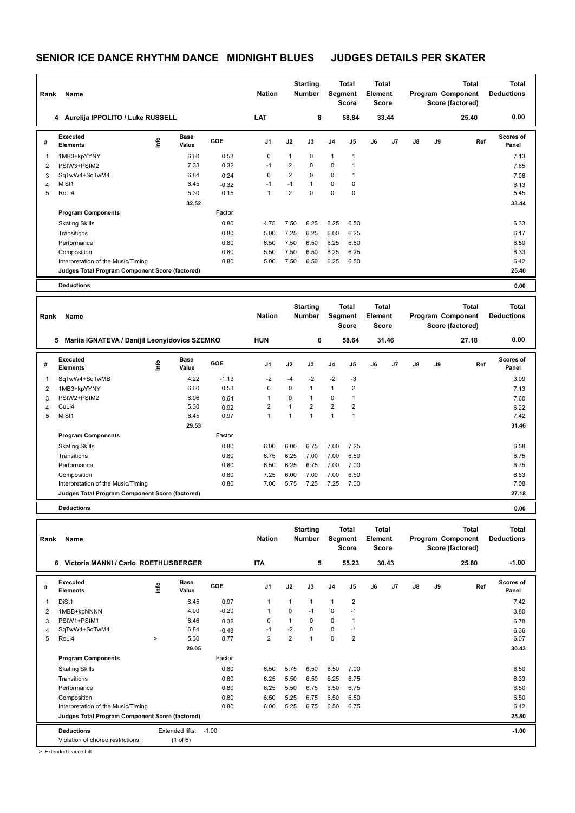## **SENIOR ICE DANCE RHYTHM DANCE MIDNIGHT BLUES JUDGES DETAILS PER SKATER**

| Rank | Name                                            |    |                      |         |                |                | <b>Starting</b><br><b>Total</b><br><b>Number</b><br>Segment<br><b>Score</b> |                |                | <b>Total</b><br>Element<br><b>Score</b> |       |               |    | <b>Total</b><br>Program Component<br>Score (factored) | Total<br><b>Deductions</b> |
|------|-------------------------------------------------|----|----------------------|---------|----------------|----------------|-----------------------------------------------------------------------------|----------------|----------------|-----------------------------------------|-------|---------------|----|-------------------------------------------------------|----------------------------|
|      | 4 Aurelija IPPOLITO / Luke RUSSELL              |    |                      |         | <b>LAT</b>     |                | 8                                                                           |                | 58.84          |                                         | 33.44 |               |    | 25.40                                                 | 0.00                       |
| #    | Executed<br><b>Elements</b>                     | ١m | <b>Base</b><br>Value | GOE     | J <sub>1</sub> | J2             | J3                                                                          | J <sub>4</sub> | J <sub>5</sub> | J6                                      | J7    | $\mathsf{J}8$ | J9 | Ref                                                   | Scores of<br>Panel         |
| 1    | 1MB3+kpYYNY                                     |    | 6.60                 | 0.53    | 0              | 1              | $\mathbf 0$                                                                 | 1              | 1              |                                         |       |               |    |                                                       | 7.13                       |
| 2    | PStW3+PStM2                                     |    | 7.33                 | 0.32    | $-1$           | 2              | 0                                                                           | 0              | 1              |                                         |       |               |    |                                                       | 7.65                       |
| 3    | SqTwW4+SqTwM4                                   |    | 6.84                 | 0.24    | 0              | $\overline{2}$ | $\mathbf 0$                                                                 | $\mathbf 0$    | 1              |                                         |       |               |    |                                                       | 7.08                       |
| 4    | MiSt1                                           |    | 6.45                 | $-0.32$ | $-1$           | $-1$           | $\mathbf{1}$                                                                | 0              | 0              |                                         |       |               |    |                                                       | 6.13                       |
| 5    | RoLi4                                           |    | 5.30                 | 0.15    | 1              | $\overline{2}$ | $\Omega$                                                                    | $\Omega$       | $\mathbf 0$    |                                         |       |               |    |                                                       | 5.45                       |
|      |                                                 |    | 32.52                |         |                |                |                                                                             |                |                |                                         |       |               |    |                                                       | 33.44                      |
|      | <b>Program Components</b>                       |    |                      | Factor  |                |                |                                                                             |                |                |                                         |       |               |    |                                                       |                            |
|      | <b>Skating Skills</b>                           |    |                      | 0.80    | 4.75           | 7.50           | 6.25                                                                        | 6.25           | 6.50           |                                         |       |               |    |                                                       | 6.33                       |
|      | Transitions                                     |    |                      | 0.80    | 5.00           | 7.25           | 6.25                                                                        | 6.00           | 6.25           |                                         |       |               |    |                                                       | 6.17                       |
|      | Performance                                     |    |                      | 0.80    | 6.50           | 7.50           | 6.50                                                                        | 6.25           | 6.50           |                                         |       |               |    |                                                       | 6.50                       |
|      | Composition                                     |    |                      | 0.80    | 5.50           | 7.50           | 6.50                                                                        | 6.25           | 6.25           |                                         |       |               |    |                                                       | 6.33                       |
|      | Interpretation of the Music/Timing              |    |                      | 0.80    | 5.00           | 7.50           | 6.50                                                                        | 6.25           | 6.50           |                                         |       |               |    |                                                       | 6.42                       |
|      | Judges Total Program Component Score (factored) |    |                      |         |                |                |                                                                             |                |                |                                         |       |               |    |                                                       | 25.40                      |
|      | <b>Deductions</b>                               |    |                      |         |                |                |                                                                             |                |                |                                         |       |               |    |                                                       | 0.00                       |

| Rank | Name                                               |      |                      |            | <b>Nation</b>  |              | <b>Starting</b><br><b>Number</b> |                | Total<br>Segment<br><b>Score</b> | <b>Total</b><br>Element<br>Score |                |    |    | <b>Total</b><br>Program Component<br>Score (factored) | <b>Total</b><br><b>Deductions</b> |
|------|----------------------------------------------------|------|----------------------|------------|----------------|--------------|----------------------------------|----------------|----------------------------------|----------------------------------|----------------|----|----|-------------------------------------------------------|-----------------------------------|
|      | Mariia IGNATEVA / Danijil Leonyidovics SZEMKO<br>5 |      |                      |            | <b>HUN</b>     |              | 6                                |                | 58.64                            |                                  | 31.46          |    |    | 27.18                                                 | 0.00                              |
| #    | Executed<br><b>Elements</b>                        | lnfo | <b>Base</b><br>Value | <b>GOE</b> | J <sub>1</sub> | J2           | J3                               | J <sub>4</sub> | J <sub>5</sub>                   | J6                               | J <sub>7</sub> | J8 | J9 | Ref                                                   | Scores of<br>Panel                |
|      | SqTwW4+SqTwMB                                      |      | 4.22                 | $-1.13$    | $-2$           | -4           | $-2$                             | $-2$           | $-3$                             |                                  |                |    |    |                                                       | 3.09                              |
| 2    | 1MB3+kpYYNY                                        |      | 6.60                 | 0.53       | 0              | $\Omega$     | $\mathbf{1}$                     | $\mathbf{1}$   | $\overline{2}$                   |                                  |                |    |    |                                                       | 7.13                              |
| 3    | PStW2+PStM2                                        |      | 6.96                 | 0.64       |                | 0            | 1                                | 0              | 1                                |                                  |                |    |    |                                                       | 7.60                              |
| 4    | CuLi4                                              |      | 5.30                 | 0.92       | 2              | $\mathbf{1}$ | $\overline{2}$                   | 2              | 2                                |                                  |                |    |    |                                                       | 6.22                              |
| 5    | MiSt1                                              |      | 6.45                 | 0.97       | 1              | 1            | $\overline{1}$                   | 1              | 1                                |                                  |                |    |    |                                                       | 7.42                              |
|      |                                                    |      | 29.53                |            |                |              |                                  |                |                                  |                                  |                |    |    |                                                       | 31.46                             |
|      | <b>Program Components</b>                          |      |                      | Factor     |                |              |                                  |                |                                  |                                  |                |    |    |                                                       |                                   |
|      | <b>Skating Skills</b>                              |      |                      | 0.80       | 6.00           | 6.00         | 6.75                             | 7.00           | 7.25                             |                                  |                |    |    |                                                       | 6.58                              |
|      | Transitions                                        |      |                      | 0.80       | 6.75           | 6.25         | 7.00                             | 7.00           | 6.50                             |                                  |                |    |    |                                                       | 6.75                              |
|      | Performance                                        |      |                      | 0.80       | 6.50           | 6.25         | 6.75                             | 7.00           | 7.00                             |                                  |                |    |    |                                                       | 6.75                              |
|      | Composition                                        |      |                      | 0.80       | 7.25           | 6.00         | 7.00                             | 7.00           | 6.50                             |                                  |                |    |    |                                                       | 6.83                              |
|      | Interpretation of the Music/Timing                 |      |                      | 0.80       | 7.00           | 5.75         | 7.25                             | 7.25           | 7.00                             |                                  |                |    |    |                                                       | 7.08                              |
|      | Judges Total Program Component Score (factored)    |      |                      |            |                |              |                                  |                |                                  |                                  |                |    |    |                                                       | 27.18                             |
|      | <b>Deductions</b>                                  |      |                      |            |                |              |                                  |                |                                  |                                  |                |    |    |                                                       | 0.00                              |

| Rank | Name                                                   |        | <b>Nation</b>                 | <b>Starting</b><br><b>Total</b><br><b>Number</b><br>Segment<br>Score |                |                |                | <b>Total</b><br>Element<br><b>Score</b><br>30.43 |                | Program Component |    | Total<br>Score (factored) | Total<br><b>Deductions</b> |       |                           |
|------|--------------------------------------------------------|--------|-------------------------------|----------------------------------------------------------------------|----------------|----------------|----------------|--------------------------------------------------|----------------|-------------------|----|---------------------------|----------------------------|-------|---------------------------|
|      | Victoria MANNI / Carlo ROETHLISBERGER<br>6.            |        |                               |                                                                      | <b>ITA</b>     |                | 5              |                                                  | 55.23          |                   |    |                           |                            | 25.80 | $-1.00$                   |
| #    | Executed<br><b>Elements</b>                            | lnfo   | <b>Base</b><br>Value          | GOE                                                                  | J1             | J2             | J3             | J <sub>4</sub>                                   | J5             | J6                | J7 | J8                        | J9                         | Ref   | <b>Scores of</b><br>Panel |
| 1    | DiSt1                                                  |        | 6.45                          | 0.97                                                                 | 1              | 1              | $\mathbf{1}$   | $\mathbf{1}$                                     | 2              |                   |    |                           |                            |       | 7.42                      |
| 2    | 1MBB+kpNNNN                                            |        | 4.00                          | $-0.20$                                                              |                | 0              | $-1$           | 0                                                | $-1$           |                   |    |                           |                            |       | 3.80                      |
| 3    | PStW1+PStM1                                            |        | 6.46                          | 0.32                                                                 | 0              | 1              | $\mathbf 0$    | $\mathbf 0$                                      | 1              |                   |    |                           |                            |       | 6.78                      |
| 4    | SqTwW4+SqTwM4                                          |        | 6.84                          | $-0.48$                                                              | $-1$           | $-2$           | $\Omega$       | $\pmb{0}$                                        | $-1$           |                   |    |                           |                            |       | 6.36                      |
| 5    | RoLi4                                                  | $\geq$ | 5.30                          | 0.77                                                                 | $\overline{2}$ | $\overline{2}$ | $\overline{1}$ | $\mathbf 0$                                      | $\overline{2}$ |                   |    |                           |                            |       | 6.07                      |
|      |                                                        |        | 29.05                         |                                                                      |                |                |                |                                                  |                |                   |    |                           |                            |       | 30.43                     |
|      | <b>Program Components</b>                              |        |                               | Factor                                                               |                |                |                |                                                  |                |                   |    |                           |                            |       |                           |
|      | <b>Skating Skills</b>                                  |        |                               | 0.80                                                                 | 6.50           | 5.75           | 6.50           | 6.50                                             | 7.00           |                   |    |                           |                            |       | 6.50                      |
|      | Transitions                                            |        |                               | 0.80                                                                 | 6.25           | 5.50           | 6.50           | 6.25                                             | 6.75           |                   |    |                           |                            |       | 6.33                      |
|      | Performance                                            |        |                               | 0.80                                                                 | 6.25           | 5.50           | 6.75           | 6.50                                             | 6.75           |                   |    |                           |                            |       | 6.50                      |
|      | Composition                                            |        |                               | 0.80                                                                 | 6.50           | 5.25           | 6.75           | 6.50                                             | 6.50           |                   |    |                           |                            |       | 6.50                      |
|      | Interpretation of the Music/Timing                     |        |                               | 0.80                                                                 | 6.00           | 5.25           | 6.75           | 6.50                                             | 6.75           |                   |    |                           |                            |       | 6.42                      |
|      | Judges Total Program Component Score (factored)        |        |                               |                                                                      |                |                |                |                                                  |                |                   |    |                           |                            |       | 25.80                     |
|      | <b>Deductions</b><br>Violation of choreo restrictions: |        | Extended lifts:<br>$(1$ of 6) | $-1.00$                                                              |                |                |                |                                                  |                |                   |    |                           |                            |       | $-1.00$                   |
|      |                                                        |        |                               |                                                                      |                |                |                |                                                  |                |                   |    |                           |                            |       |                           |

> Extended Dance Lift